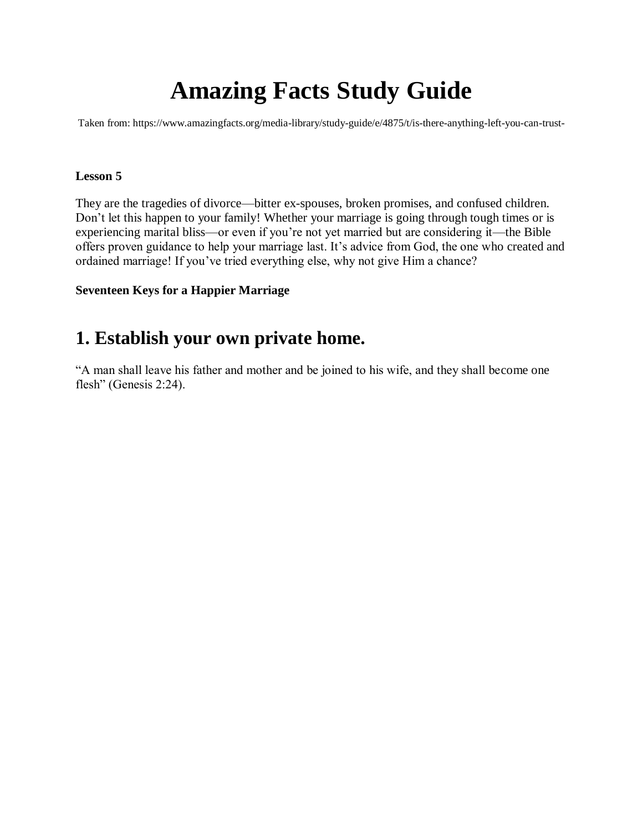# **Amazing Facts Study Guide**

Taken from: https://www.amazingfacts.org/media-library/study-guide/e/4875/t/is-there-anything-left-you-can-trust-

#### **Lesson 5**

They are the tragedies of divorce—bitter ex-spouses, broken promises, and confused children. Don't let this happen to your family! Whether your marriage is going through tough times or is experiencing marital bliss—or even if you're not yet married but are considering it—the Bible offers proven guidance to help your marriage last. It's advice from God, the one who created and ordained marriage! If you've tried everything else, why not give Him a chance?

### **Seventeen Keys for a Happier Marriage**

### **1. Establish your own private home.**

"A man shall leave his father and mother and be joined to his wife, and they shall become one flesh" (Genesis 2:24).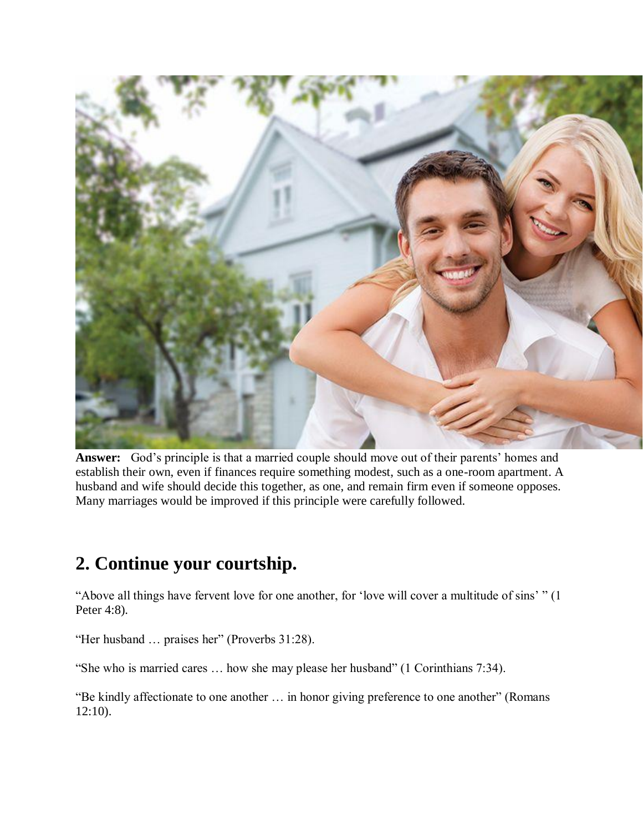

**Answer:** God's principle is that a married couple should move out of their parents' homes and establish their own, even if finances require something modest, such as a one-room apartment. A husband and wife should decide this together, as one, and remain firm even if someone opposes. Many marriages would be improved if this principle were carefully followed.

## **2. Continue your courtship.**

"Above all things have fervent love for one another, for 'love will cover a multitude of sins' " (1 Peter 4:8).

"Her husband … praises her" (Proverbs 31:28).

"She who is married cares … how she may please her husband" (1 Corinthians 7:34).

"Be kindly affectionate to one another … in honor giving preference to one another" (Romans 12:10).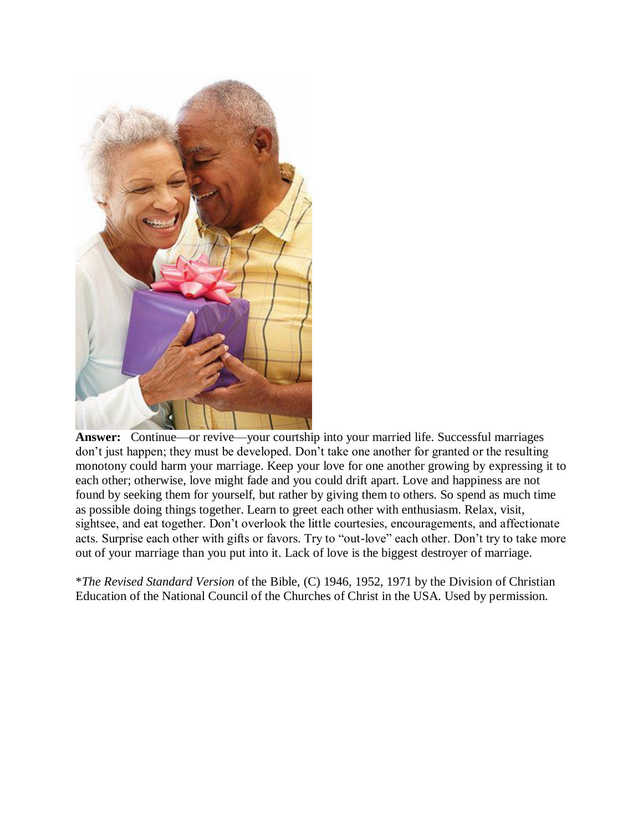

**Answer:** Continue—or revive—your courtship into your married life. Successful marriages don't just happen; they must be developed. Don't take one another for granted or the resulting monotony could harm your marriage. Keep your love for one another growing by expressing it to each other; otherwise, love might fade and you could drift apart. Love and happiness are not found by seeking them for yourself, but rather by giving them to others. So spend as much time as possible doing things together. Learn to greet each other with enthusiasm. Relax, visit, sightsee, and eat together. Don't overlook the little courtesies, encouragements, and affectionate acts. Surprise each other with gifts or favors. Try to "out-love" each other. Don't try to take more out of your marriage than you put into it. Lack of love is the biggest destroyer of marriage.

\**The Revised Standard Version* of the Bible, (C) 1946, 1952, 1971 by the Division of Christian Education of the National Council of the Churches of Christ in the USA. Used by permission.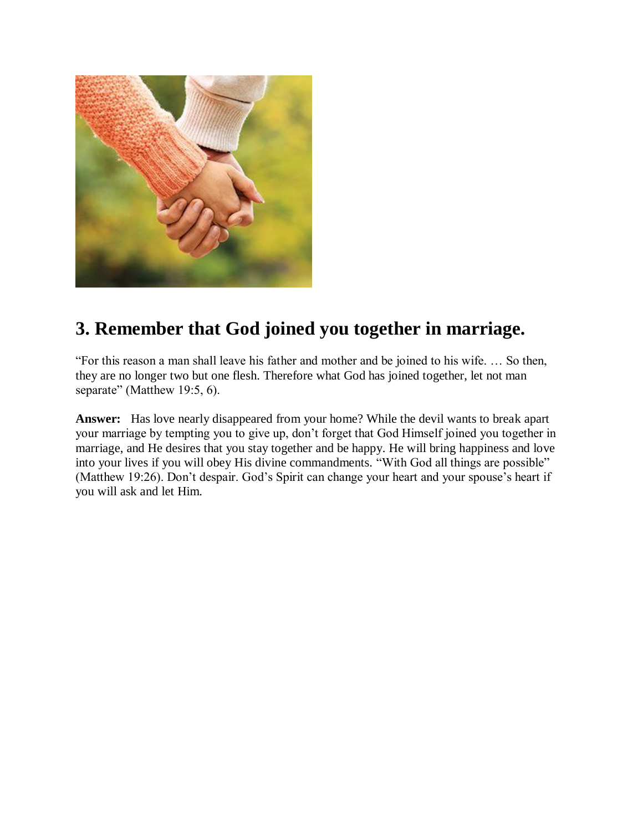

## **3. Remember that God joined you together in marriage.**

"For this reason a man shall leave his father and mother and be joined to his wife. … So then, they are no longer two but one flesh. Therefore what God has joined together, let not man separate" (Matthew 19:5, 6).

**Answer:** Has love nearly disappeared from your home? While the devil wants to break apart your marriage by tempting you to give up, don't forget that God Himself joined you together in marriage, and He desires that you stay together and be happy. He will bring happiness and love into your lives if you will obey His divine commandments. "With God all things are possible" (Matthew 19:26). Don't despair. God's Spirit can change your heart and your spouse's heart if you will ask and let Him.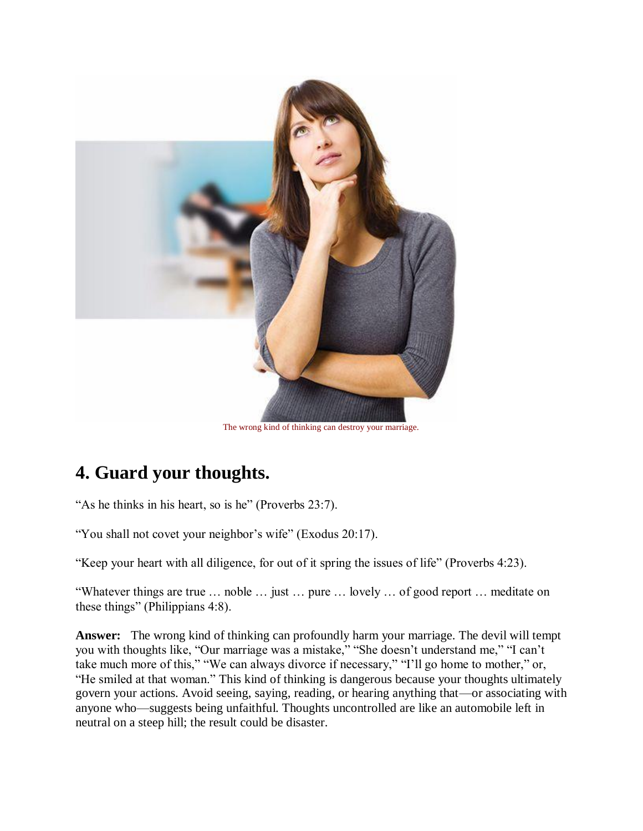

#### The wrong kind of thinking can destroy your marriage.

## **4. Guard your thoughts.**

"As he thinks in his heart, so is he" (Proverbs 23:7).

"You shall not covet your neighbor's wife" (Exodus 20:17).

"Keep your heart with all diligence, for out of it spring the issues of life" (Proverbs 4:23).

"Whatever things are true … noble … just … pure … lovely … of good report … meditate on these things" (Philippians 4:8).

**Answer:** The wrong kind of thinking can profoundly harm your marriage. The devil will tempt you with thoughts like, "Our marriage was a mistake," "She doesn't understand me," "I can't take much more of this," "We can always divorce if necessary," "I'll go home to mother," or, "He smiled at that woman." This kind of thinking is dangerous because your thoughts ultimately govern your actions. Avoid seeing, saying, reading, or hearing anything that—or associating with anyone who—suggests being unfaithful. Thoughts uncontrolled are like an automobile left in neutral on a steep hill; the result could be disaster.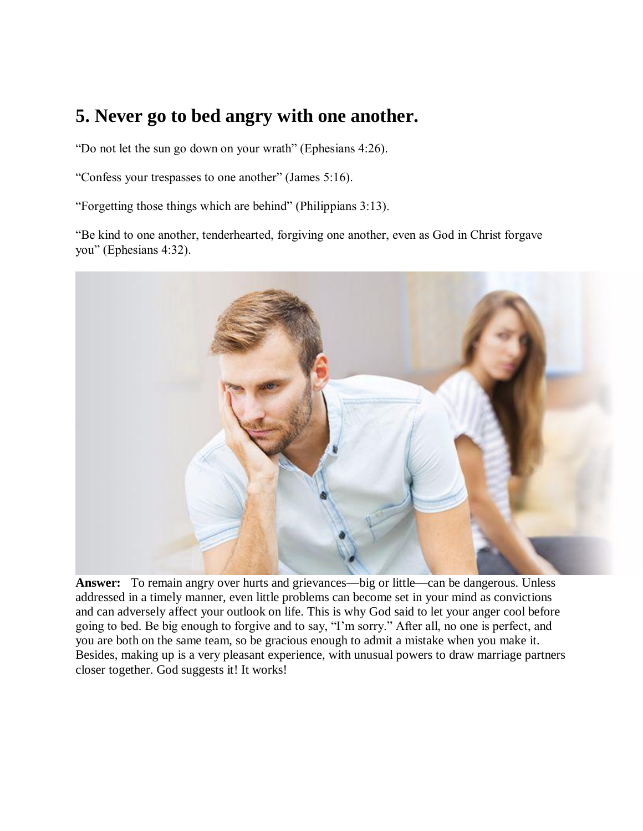## **5. Never go to bed angry with one another.**

"Do not let the sun go down on your wrath" (Ephesians 4:26).

"Confess your trespasses to one another" (James 5:16).

"Forgetting those things which are behind" (Philippians 3:13).

"Be kind to one another, tenderhearted, forgiving one another, even as God in Christ forgave you" (Ephesians 4:32).



**Answer:** To remain angry over hurts and grievances—big or little—can be dangerous. Unless addressed in a timely manner, even little problems can become set in your mind as convictions and can adversely affect your outlook on life. This is why God said to let your anger cool before going to bed. Be big enough to forgive and to say, "I'm sorry." After all, no one is perfect, and you are both on the same team, so be gracious enough to admit a mistake when you make it. Besides, making up is a very pleasant experience, with unusual powers to draw marriage partners closer together. God suggests it! It works!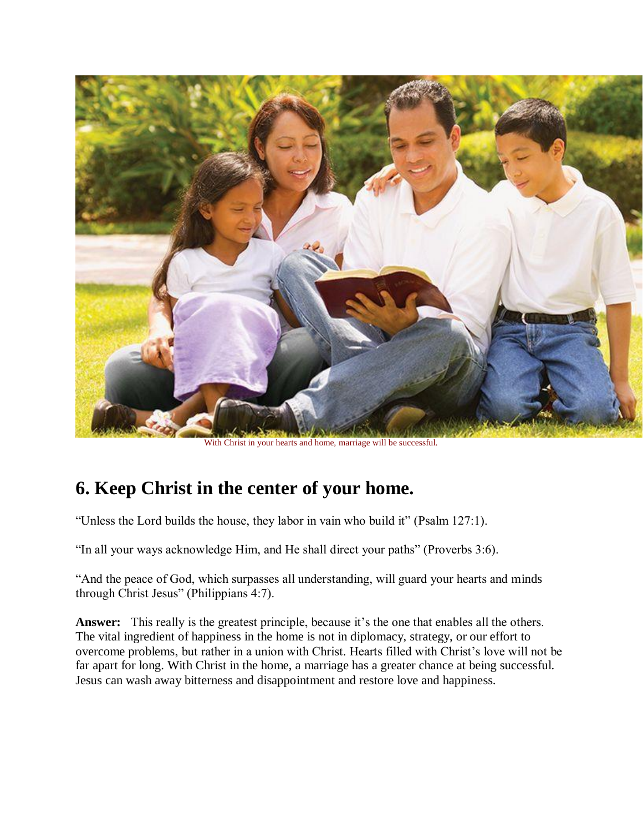

With Christ in your hearts and home, marriage will be successful.

## **6. Keep Christ in the center of your home.**

"Unless the Lord builds the house, they labor in vain who build it" (Psalm 127:1).

"In all your ways acknowledge Him, and He shall direct your paths" (Proverbs 3:6).

"And the peace of God, which surpasses all understanding, will guard your hearts and minds through Christ Jesus" (Philippians 4:7).

**Answer:** This really is the greatest principle, because it's the one that enables all the others. The vital ingredient of happiness in the home is not in diplomacy, strategy, or our effort to overcome problems, but rather in a union with Christ. Hearts filled with Christ's love will not be far apart for long. With Christ in the home, a marriage has a greater chance at being successful. Jesus can wash away bitterness and disappointment and restore love and happiness.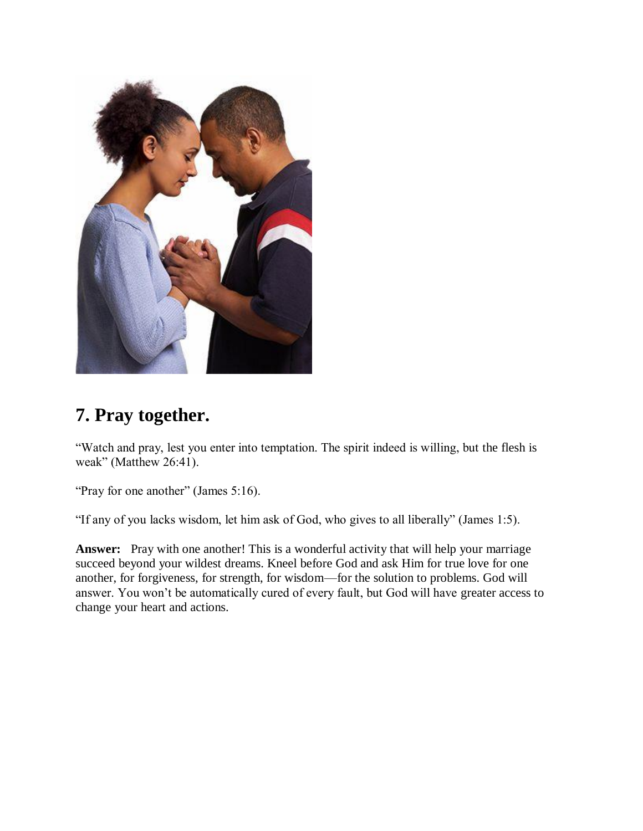

## **7. Pray together.**

"Watch and pray, lest you enter into temptation. The spirit indeed is willing, but the flesh is weak" (Matthew 26:41).

"Pray for one another" (James 5:16).

"If any of you lacks wisdom, let him ask of God, who gives to all liberally" (James 1:5).

Answer: Pray with one another! This is a wonderful activity that will help your marriage succeed beyond your wildest dreams. Kneel before God and ask Him for true love for one another, for forgiveness, for strength, for wisdom—for the solution to problems. God will answer. You won't be automatically cured of every fault, but God will have greater access to change your heart and actions.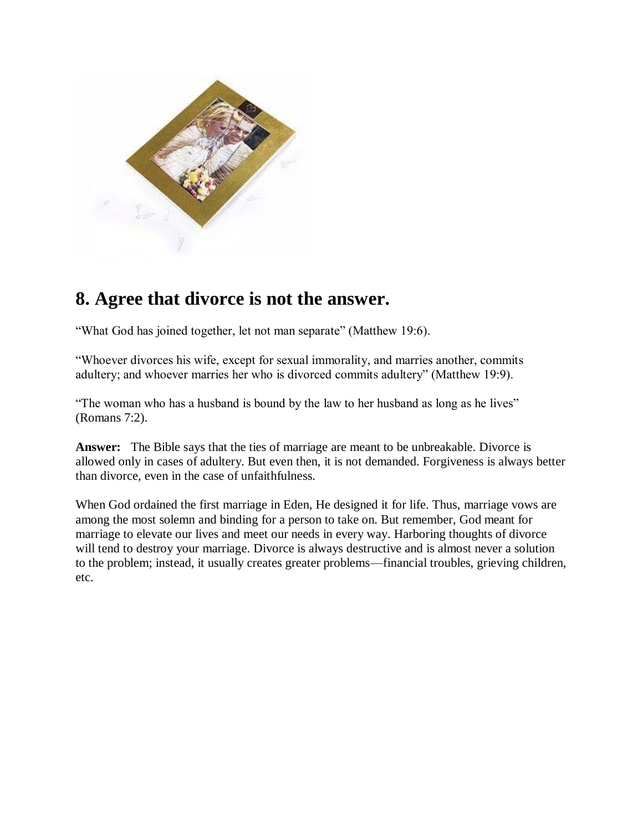

### **8. Agree that divorce is not the answer.**

"What God has joined together, let not man separate" (Matthew 19:6).

"Whoever divorces his wife, except for sexual immorality, and marries another, commits adultery; and whoever marries her who is divorced commits adultery" (Matthew 19:9).

"The woman who has a husband is bound by the law to her husband as long as he lives" (Romans 7:2).

**Answer:** The Bible says that the ties of marriage are meant to be unbreakable. Divorce is allowed only in cases of adultery. But even then, it is not demanded. Forgiveness is always better than divorce, even in the case of unfaithfulness.

When God ordained the first marriage in Eden, He designed it for life. Thus, marriage vows are among the most solemn and binding for a person to take on. But remember, God meant for marriage to elevate our lives and meet our needs in every way. Harboring thoughts of divorce will tend to destroy your marriage. Divorce is always destructive and is almost never a solution to the problem; instead, it usually creates greater problems—financial troubles, grieving children, etc.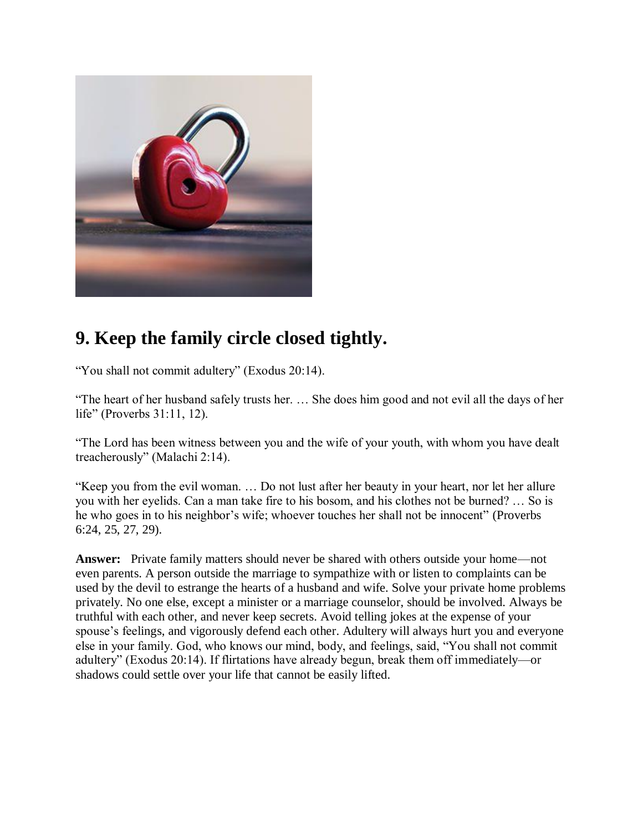

## **9. Keep the family circle closed tightly.**

"You shall not commit adultery" (Exodus 20:14).

"The heart of her husband safely trusts her. … She does him good and not evil all the days of her life" (Proverbs 31:11, 12).

"The Lord has been witness between you and the wife of your youth, with whom you have dealt treacherously" (Malachi 2:14).

"Keep you from the evil woman. … Do not lust after her beauty in your heart, nor let her allure you with her eyelids. Can a man take fire to his bosom, and his clothes not be burned? … So is he who goes in to his neighbor's wife; whoever touches her shall not be innocent" (Proverbs 6:24, 25, 27, 29).

**Answer:** Private family matters should never be shared with others outside your home—not even parents. A person outside the marriage to sympathize with or listen to complaints can be used by the devil to estrange the hearts of a husband and wife. Solve your private home problems privately. No one else, except a minister or a marriage counselor, should be involved. Always be truthful with each other, and never keep secrets. Avoid telling jokes at the expense of your spouse's feelings, and vigorously defend each other. Adultery will always hurt you and everyone else in your family. God, who knows our mind, body, and feelings, said, "You shall not commit adultery" (Exodus 20:14). If flirtations have already begun, break them off immediately—or shadows could settle over your life that cannot be easily lifted.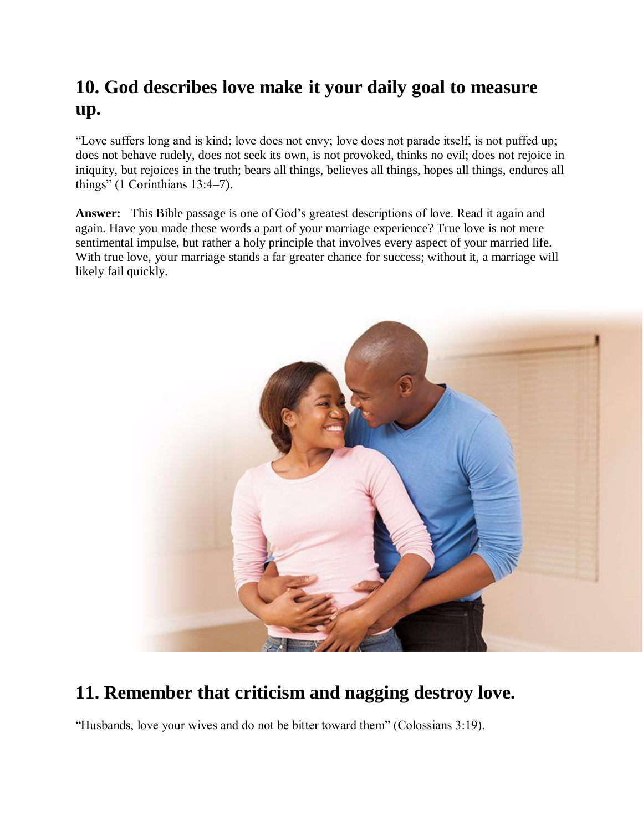## **10. God describes love make it your daily goal to measure up.**

"Love suffers long and is kind; love does not envy; love does not parade itself, is not puffed up; does not behave rudely, does not seek its own, is not provoked, thinks no evil; does not rejoice in iniquity, but rejoices in the truth; bears all things, believes all things, hopes all things, endures all things" (1 Corinthians 13:4–7).

**Answer:** This Bible passage is one of God's greatest descriptions of love. Read it again and again. Have you made these words a part of your marriage experience? True love is not mere sentimental impulse, but rather a holy principle that involves every aspect of your married life. With true love, your marriage stands a far greater chance for success; without it, a marriage will likely fail quickly.



## **11. Remember that criticism and nagging destroy love.**

"Husbands, love your wives and do not be bitter toward them" (Colossians 3:19).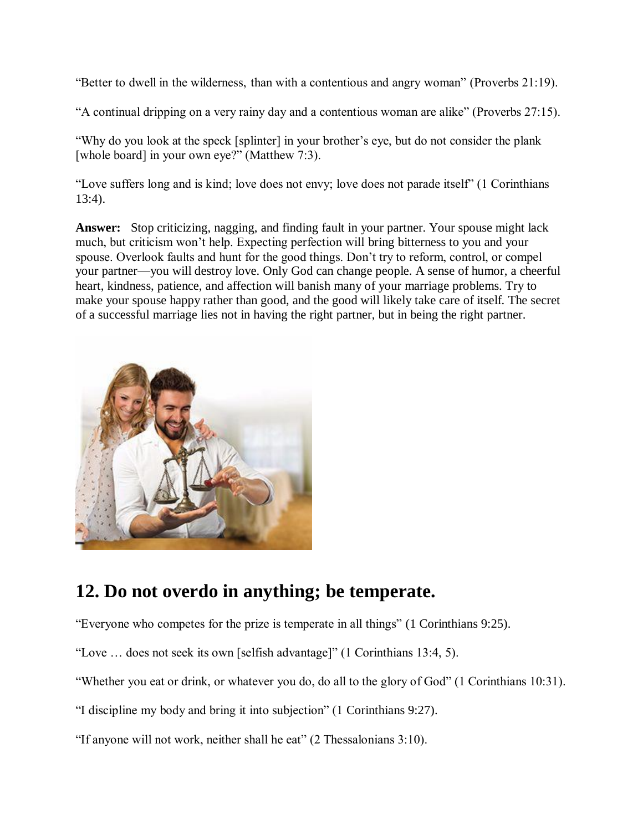"Better to dwell in the wilderness, than with a contentious and angry woman" (Proverbs 21:19).

"A continual dripping on a very rainy day and a contentious woman are alike" (Proverbs 27:15).

"Why do you look at the speck [splinter] in your brother's eye, but do not consider the plank [whole board] in your own eye?" (Matthew 7:3).

"Love suffers long and is kind; love does not envy; love does not parade itself" (1 Corinthians 13:4).

**Answer:** Stop criticizing, nagging, and finding fault in your partner. Your spouse might lack much, but criticism won't help. Expecting perfection will bring bitterness to you and your spouse. Overlook faults and hunt for the good things. Don't try to reform, control, or compel your partner—you will destroy love. Only God can change people. A sense of humor, a cheerful heart, kindness, patience, and affection will banish many of your marriage problems. Try to make your spouse happy rather than good, and the good will likely take care of itself. The secret of a successful marriage lies not in having the right partner, but in being the right partner.



### **12. Do not overdo in anything; be temperate.**

"Everyone who competes for the prize is temperate in all things" (1 Corinthians 9:25).

"Love … does not seek its own [selfish advantage]" (1 Corinthians 13:4, 5).

"Whether you eat or drink, or whatever you do, do all to the glory of God" (1 Corinthians 10:31).

"I discipline my body and bring it into subjection" (1 Corinthians 9:27).

"If anyone will not work, neither shall he eat" (2 Thessalonians 3:10).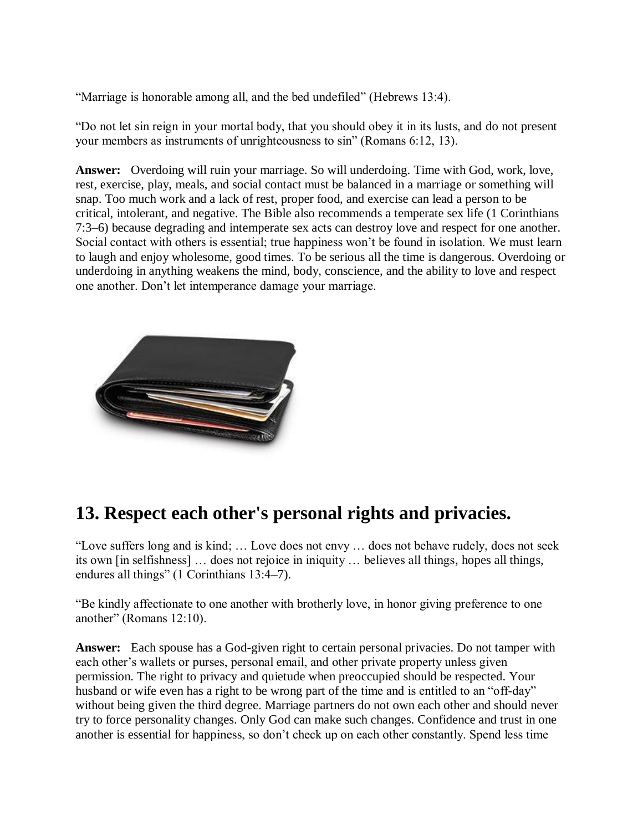"Marriage is honorable among all, and the bed undefiled" (Hebrews 13:4).

"Do not let sin reign in your mortal body, that you should obey it in its lusts, and do not present your members as instruments of unrighteousness to sin" (Romans 6:12, 13).

**Answer:** Overdoing will ruin your marriage. So will underdoing. Time with God, work, love, rest, exercise, play, meals, and social contact must be balanced in a marriage or something will snap. Too much work and a lack of rest, proper food, and exercise can lead a person to be critical, intolerant, and negative. The Bible also recommends a temperate sex life (1 Corinthians 7:3–6) because degrading and intemperate sex acts can destroy love and respect for one another. Social contact with others is essential; true happiness won't be found in isolation. We must learn to laugh and enjoy wholesome, good times. To be serious all the time is dangerous. Overdoing or underdoing in anything weakens the mind, body, conscience, and the ability to love and respect one another. Don't let intemperance damage your marriage.



## **13. Respect each other's personal rights and privacies.**

"Love suffers long and is kind; … Love does not envy … does not behave rudely, does not seek its own [in selfishness] … does not rejoice in iniquity … believes all things, hopes all things, endures all things" (1 Corinthians 13:4–7).

"Be kindly affectionate to one another with brotherly love, in honor giving preference to one another" (Romans 12:10).

**Answer:** Each spouse has a God-given right to certain personal privacies. Do not tamper with each other's wallets or purses, personal email, and other private property unless given permission. The right to privacy and quietude when preoccupied should be respected. Your husband or wife even has a right to be wrong part of the time and is entitled to an "off-day" without being given the third degree. Marriage partners do not own each other and should never try to force personality changes. Only God can make such changes. Confidence and trust in one another is essential for happiness, so don't check up on each other constantly. Spend less time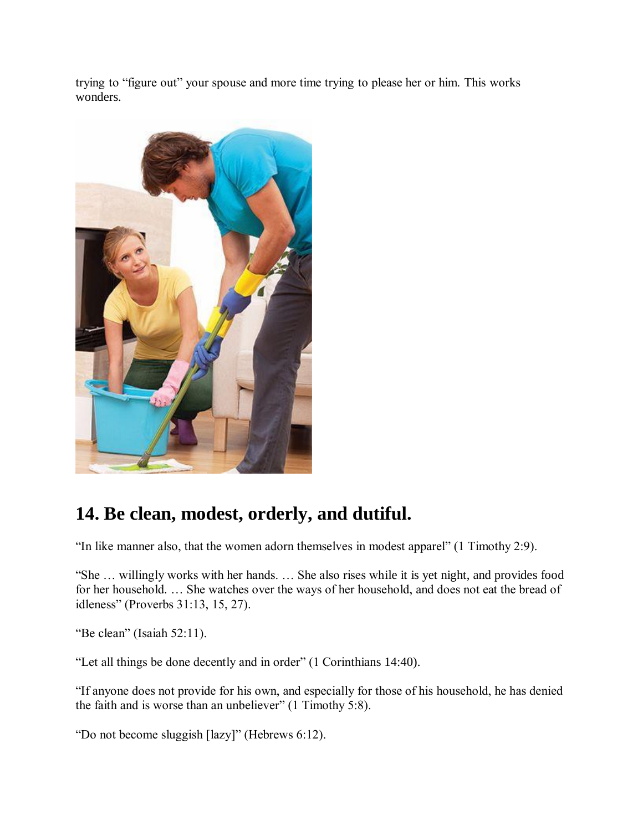trying to "figure out" your spouse and more time trying to please her or him. This works wonders.



## **14. Be clean, modest, orderly, and dutiful.**

"In like manner also, that the women adorn themselves in modest apparel" (1 Timothy 2:9).

"She … willingly works with her hands. … She also rises while it is yet night, and provides food for her household. … She watches over the ways of her household, and does not eat the bread of idleness" (Proverbs 31:13, 15, 27).

"Be clean" (Isaiah 52:11).

"Let all things be done decently and in order" (1 Corinthians 14:40).

"If anyone does not provide for his own, and especially for those of his household, he has denied the faith and is worse than an unbeliever" (1 Timothy 5:8).

"Do not become sluggish [lazy]" (Hebrews 6:12).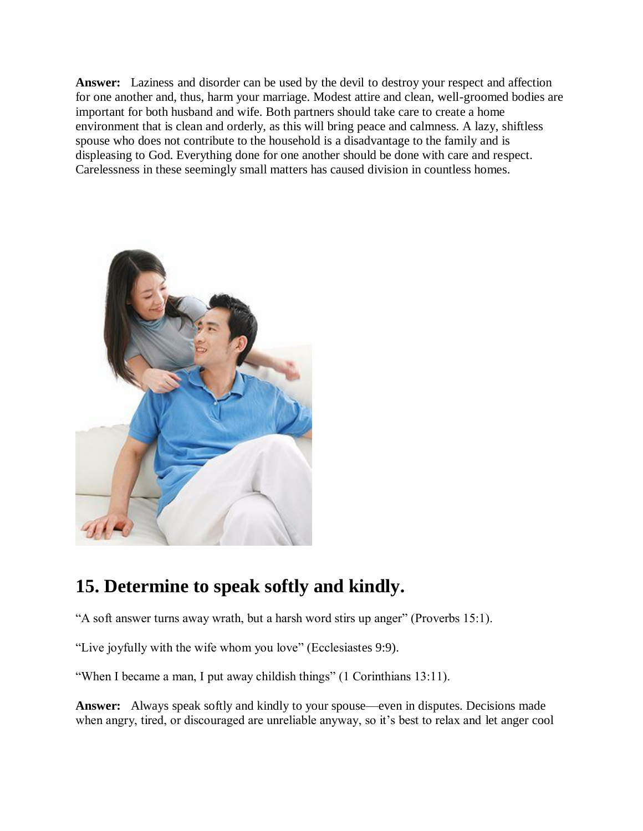**Answer:** Laziness and disorder can be used by the devil to destroy your respect and affection for one another and, thus, harm your marriage. Modest attire and clean, well-groomed bodies are important for both husband and wife. Both partners should take care to create a home environment that is clean and orderly, as this will bring peace and calmness. A lazy, shiftless spouse who does not contribute to the household is a disadvantage to the family and is displeasing to God. Everything done for one another should be done with care and respect. Carelessness in these seemingly small matters has caused division in countless homes.



## **15. Determine to speak softly and kindly.**

"A soft answer turns away wrath, but a harsh word stirs up anger" (Proverbs 15:1).

"Live joyfully with the wife whom you love" (Ecclesiastes 9:9).

"When I became a man, I put away childish things" (1 Corinthians 13:11).

**Answer:** Always speak softly and kindly to your spouse—even in disputes. Decisions made when angry, tired, or discouraged are unreliable anyway, so it's best to relax and let anger cool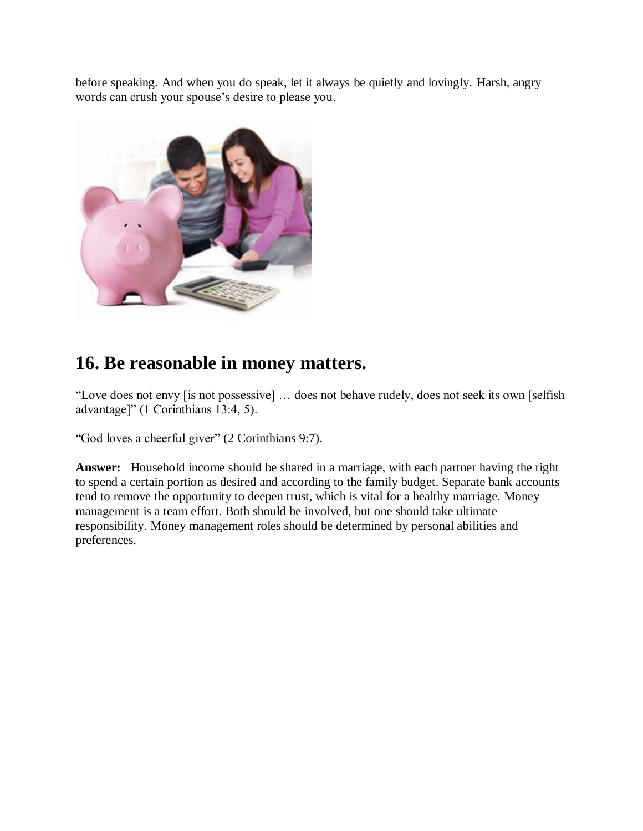before speaking. And when you do speak, let it always be quietly and lovingly. Harsh, angry words can crush your spouse's desire to please you.



### **16. Be reasonable in money matters.**

"Love does not envy [is not possessive] … does not behave rudely, does not seek its own [selfish advantage]" (1 Corinthians 13:4, 5).

"God loves a cheerful giver" (2 Corinthians 9:7).

**Answer:** Household income should be shared in a marriage, with each partner having the right to spend a certain portion as desired and according to the family budget. Separate bank accounts tend to remove the opportunity to deepen trust, which is vital for a healthy marriage. Money management is a team effort. Both should be involved, but one should take ultimate responsibility. Money management roles should be determined by personal abilities and preferences.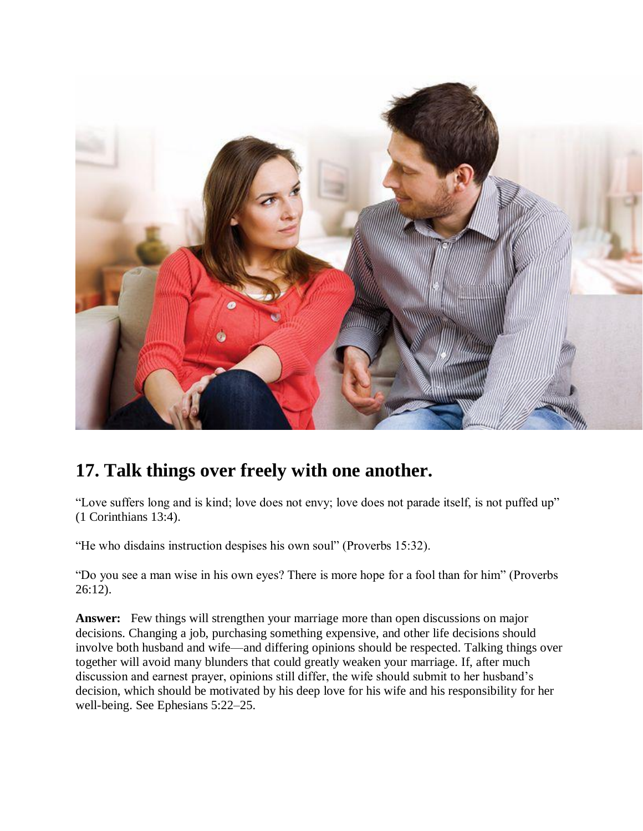

## **17. Talk things over freely with one another.**

"Love suffers long and is kind; love does not envy; love does not parade itself, is not puffed up" (1 Corinthians 13:4).

"He who disdains instruction despises his own soul" (Proverbs 15:32).

"Do you see a man wise in his own eyes? There is more hope for a fool than for him" (Proverbs 26:12).

**Answer:** Few things will strengthen your marriage more than open discussions on major decisions. Changing a job, purchasing something expensive, and other life decisions should involve both husband and wife—and differing opinions should be respected. Talking things over together will avoid many blunders that could greatly weaken your marriage. If, after much discussion and earnest prayer, opinions still differ, the wife should submit to her husband's decision, which should be motivated by his deep love for his wife and his responsibility for her well-being. See Ephesians 5:22–25.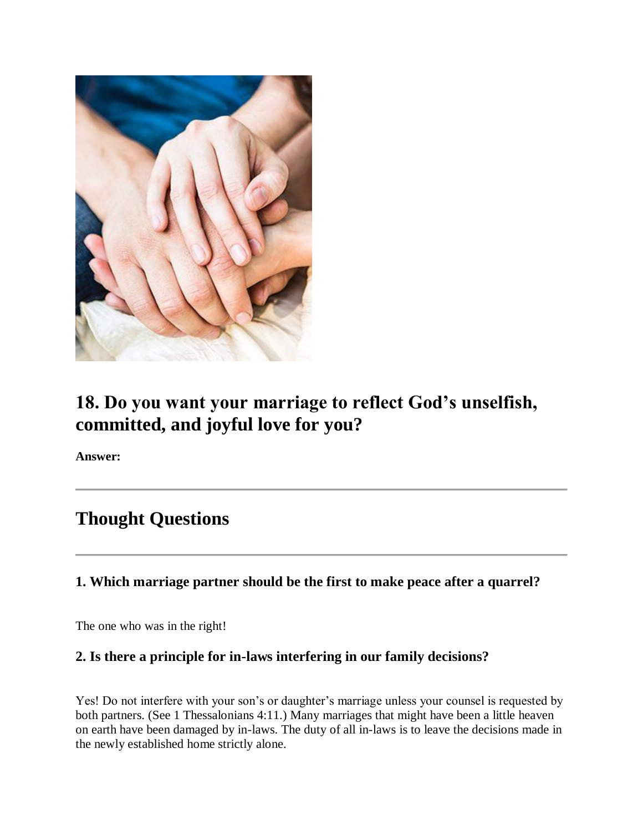

## **18. Do you want your marriage to reflect God's unselfish, committed, and joyful love for you?**

**Answer:**

## **Thought Questions**

### **1. Which marriage partner should be the first to make peace after a quarrel?**

The one who was in the right!

### **2. Is there a principle for in-laws interfering in our family decisions?**

Yes! Do not interfere with your son's or daughter's marriage unless your counsel is requested by both partners. (See 1 Thessalonians 4:11.) Many marriages that might have been a little heaven on earth have been damaged by in-laws. The duty of all in-laws is to leave the decisions made in the newly established home strictly alone.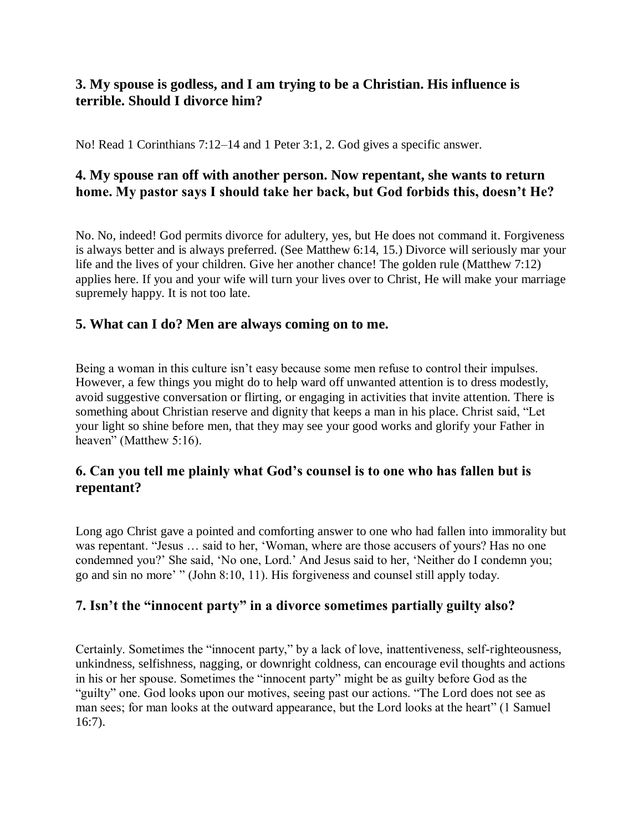### **3. My spouse is godless, and I am trying to be a Christian. His influence is terrible. Should I divorce him?**

No! Read 1 Corinthians 7:12–14 and 1 Peter 3:1, 2. God gives a specific answer.

### **4. My spouse ran off with another person. Now repentant, she wants to return home. My pastor says I should take her back, but God forbids this, doesn't He?**

No. No, indeed! God permits divorce for adultery, yes, but He does not command it. Forgiveness is always better and is always preferred. (See Matthew 6:14, 15.) Divorce will seriously mar your life and the lives of your children. Give her another chance! The golden rule (Matthew 7:12) applies here. If you and your wife will turn your lives over to Christ, He will make your marriage supremely happy. It is not too late.

### **5. What can I do? Men are always coming on to me.**

Being a woman in this culture isn't easy because some men refuse to control their impulses. However, a few things you might do to help ward off unwanted attention is to dress modestly, avoid suggestive conversation or flirting, or engaging in activities that invite attention. There is something about Christian reserve and dignity that keeps a man in his place. Christ said, "Let your light so shine before men, that they may see your good works and glorify your Father in heaven" (Matthew 5:16).

### **6. Can you tell me plainly what God's counsel is to one who has fallen but is repentant?**

Long ago Christ gave a pointed and comforting answer to one who had fallen into immorality but was repentant. "Jesus … said to her, 'Woman, where are those accusers of yours? Has no one condemned you?' She said, 'No one, Lord.' And Jesus said to her, 'Neither do I condemn you; go and sin no more' " (John 8:10, 11). His forgiveness and counsel still apply today.

### **7. Isn't the "innocent party" in a divorce sometimes partially guilty also?**

Certainly. Sometimes the "innocent party," by a lack of love, inattentiveness, self-righteousness, unkindness, selfishness, nagging, or downright coldness, can encourage evil thoughts and actions in his or her spouse. Sometimes the "innocent party" might be as guilty before God as the "guilty" one. God looks upon our motives, seeing past our actions. "The Lord does not see as man sees; for man looks at the outward appearance, but the Lord looks at the heart" (1 Samuel 16:7).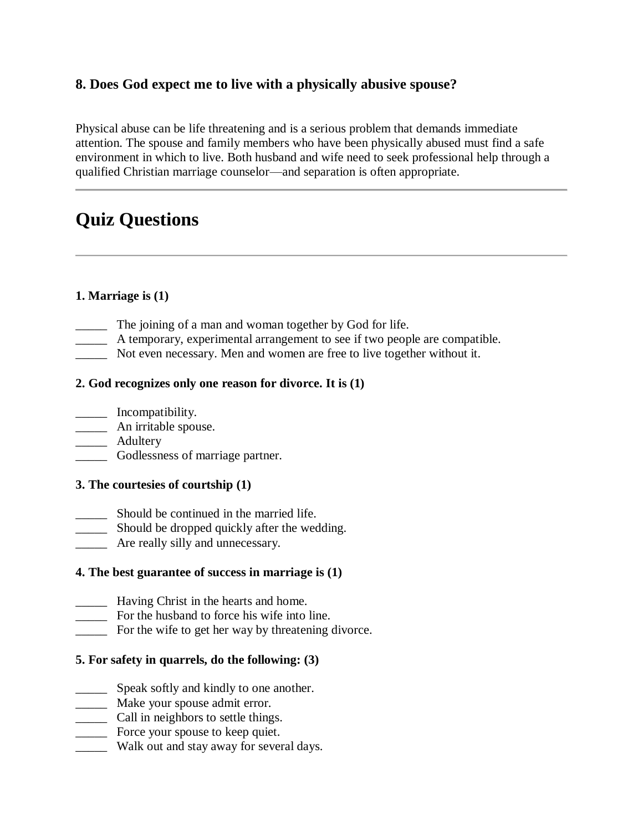### **8. Does God expect me to live with a physically abusive spouse?**

Physical abuse can be life threatening and is a serious problem that demands immediate attention. The spouse and family members who have been physically abused must find a safe environment in which to live. Both husband and wife need to seek professional help through a qualified Christian marriage counselor—and separation is often appropriate.

## **Quiz Questions**

### **1. Marriage is (1)**

- \_\_\_\_\_ The joining of a man and woman together by God for life.
- \_\_\_\_\_ A temporary, experimental arrangement to see if two people are compatible.
- \_\_\_\_\_ Not even necessary. Men and women are free to live together without it.

#### **2. God recognizes only one reason for divorce. It is (1)**

- \_\_\_\_\_ Incompatibility.
- \_\_\_\_\_ An irritable spouse.
- \_\_\_\_\_ Adultery
- \_\_\_\_\_ Godlessness of marriage partner.

#### **3. The courtesies of courtship (1)**

- \_\_\_\_\_ Should be continued in the married life.
- \_\_\_\_\_ Should be dropped quickly after the wedding.
- \_\_\_\_\_ Are really silly and unnecessary.

#### **4. The best guarantee of success in marriage is (1)**

- \_\_\_\_\_ Having Christ in the hearts and home.
- \_\_\_\_\_ For the husband to force his wife into line.
- \_\_\_\_\_ For the wife to get her way by threatening divorce.

#### **5. For safety in quarrels, do the following: (3)**

- speak softly and kindly to one another.
- \_\_\_\_\_ Make your spouse admit error.
- \_\_\_\_\_ Call in neighbors to settle things.
- \_\_\_\_\_ Force your spouse to keep quiet.
- \_\_\_\_\_ Walk out and stay away for several days.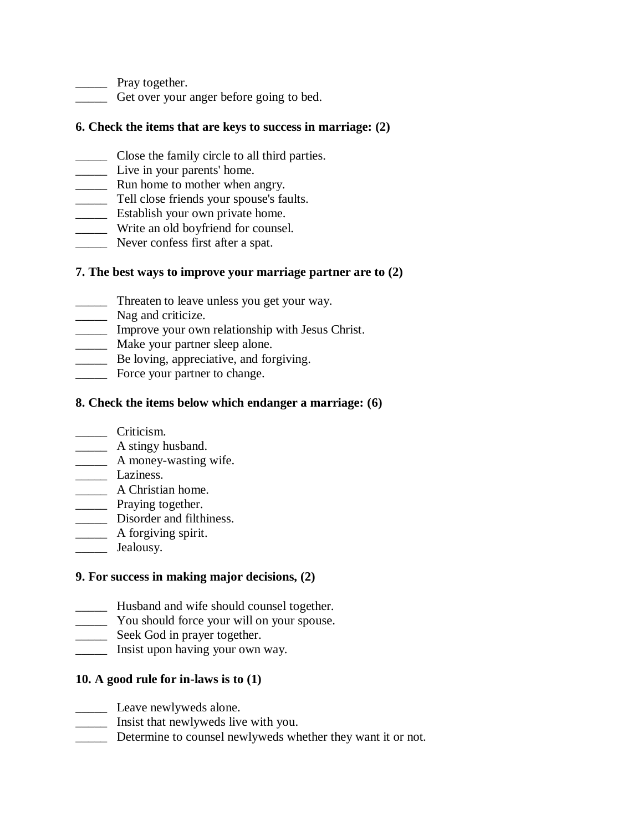\_\_\_\_\_ Pray together.

\_\_\_\_\_ Get over your anger before going to bed.

#### **6. Check the items that are keys to success in marriage: (2)**

- \_\_\_\_\_ Close the family circle to all third parties.
- \_\_\_\_\_ Live in your parents' home.
- **EXECUTE:** Run home to mother when angry.
- \_\_\_\_\_ Tell close friends your spouse's faults.
- \_\_\_\_\_ Establish your own private home.
- \_\_\_\_\_ Write an old boyfriend for counsel.
- Never confess first after a spat.

### **7. The best ways to improve your marriage partner are to (2)**

- \_\_\_\_\_ Threaten to leave unless you get your way.
- Nag and criticize.
- \_\_\_\_\_ Improve your own relationship with Jesus Christ.
- \_\_\_\_\_\_\_ Make your partner sleep alone.
- **EXECUTE:** Be loving, appreciative, and forgiving.
- **Exercise** Force your partner to change.

#### **8. Check the items below which endanger a marriage: (6)**

- \_\_\_\_\_ Criticism.
- **A** stingy husband.
- \_\_\_\_\_ A money-wasting wife.
- \_\_\_\_\_ Laziness.
- \_\_\_\_\_ A Christian home.
- **Example 2** Praying together.
- \_\_\_\_\_ Disorder and filthiness.
- \_\_\_\_\_\_ A forgiving spirit.
- \_\_\_\_\_ Jealousy.

### **9. For success in making major decisions, (2)**

- **EXECUTE:** Husband and wife should counsel together.
- \_\_\_\_\_ You should force your will on your spouse.
- \_\_\_\_\_ Seek God in prayer together.
- \_\_\_\_\_ Insist upon having your own way.

### **10. A good rule for in-laws is to (1)**

- **Leave newlyweds alone.**
- \_\_\_\_\_ Insist that newlyweds live with you.
- \_\_\_\_\_ Determine to counsel newlyweds whether they want it or not.